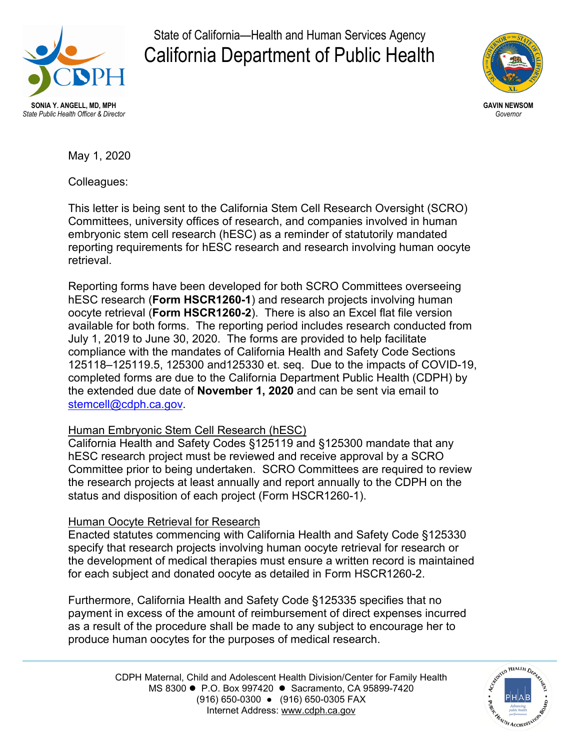

State of California—Health and Human Services Agency California Department of Public Health



May 1, 2020

Colleagues:

This letter is being sent to the California Stem Cell Research Oversight (SCRO) Committees, university offices of research, and companies involved in human embryonic stem cell research (hESC) as a reminder of statutorily mandated reporting requirements for hESC research and research involving human oocyte retrieval.

Reporting forms have been developed for both SCRO Committees overseeing hESC research (**Form HSCR1260-1**) and research projects involving human oocyte retrieval (**Form HSCR1260-2**). There is also an Excel flat file version available for both forms. The reporting period includes research conducted from July 1, 2019 to June 30, 2020. The forms are provided to help facilitate compliance with the mandates of California Health and Safety Code Sections 125118–125119.5, 125300 and125330 et. seq. Due to the impacts of COVID-19, completed forms are due to the California Department Public Health (CDPH) by the extended due date of **November 1, 2020** and can be sent via email to [stemcell@cdph.ca.gov.](mailto:stemcell@cdph.ca.gov)

## Human Embryonic Stem Cell Research (hESC)

California Health and Safety Codes §125119 and §125300 mandate that any hESC research project must be reviewed and receive approval by a SCRO Committee prior to being undertaken. SCRO Committees are required to review the research projects at least annually and report annually to the CDPH on the status and disposition of each project (Form HSCR1260-1).

## **Human Oocyte Retrieval for Research**

Enacted statutes commencing with California Health and Safety Code §125330 specify that research projects involving human oocyte retrieval for research or the development of medical therapies must ensure a written record is maintained for each subject and donated oocyte as detailed in Form HSCR1260-2.

Furthermore, California Health and Safety Code §125335 specifies that no payment in excess of the amount of reimbursement of direct expenses incurred as a result of the procedure shall be made to any subject to encourage her to produce human oocytes for the purposes of medical research.